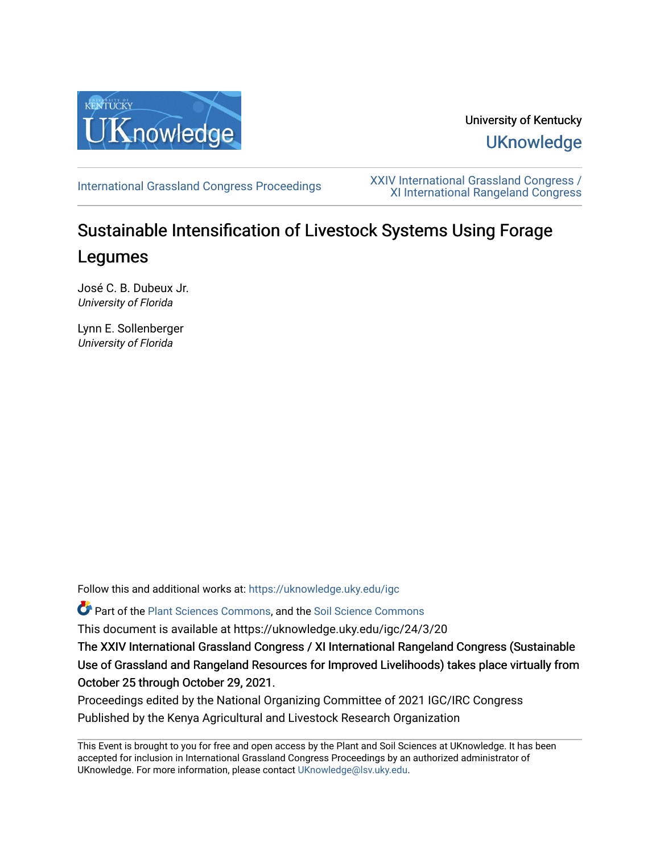

University of Kentucky **UKnowledge** 

[International Grassland Congress Proceedings](https://uknowledge.uky.edu/igc) [XXIV International Grassland Congress /](https://uknowledge.uky.edu/igc/24)  [XI International Rangeland Congress](https://uknowledge.uky.edu/igc/24) 

# Sustainable Intensification of Livestock Systems Using Forage Legumes

José C. B. Dubeux Jr. University of Florida

Lynn E. Sollenberger University of Florida

Follow this and additional works at: [https://uknowledge.uky.edu/igc](https://uknowledge.uky.edu/igc?utm_source=uknowledge.uky.edu%2Figc%2F24%2F3%2F20&utm_medium=PDF&utm_campaign=PDFCoverPages) 

Part of the [Plant Sciences Commons](http://network.bepress.com/hgg/discipline/102?utm_source=uknowledge.uky.edu%2Figc%2F24%2F3%2F20&utm_medium=PDF&utm_campaign=PDFCoverPages), and the [Soil Science Commons](http://network.bepress.com/hgg/discipline/163?utm_source=uknowledge.uky.edu%2Figc%2F24%2F3%2F20&utm_medium=PDF&utm_campaign=PDFCoverPages) 

This document is available at https://uknowledge.uky.edu/igc/24/3/20

The XXIV International Grassland Congress / XI International Rangeland Congress (Sustainable Use of Grassland and Rangeland Resources for Improved Livelihoods) takes place virtually from October 25 through October 29, 2021.

Proceedings edited by the National Organizing Committee of 2021 IGC/IRC Congress Published by the Kenya Agricultural and Livestock Research Organization

This Event is brought to you for free and open access by the Plant and Soil Sciences at UKnowledge. It has been accepted for inclusion in International Grassland Congress Proceedings by an authorized administrator of UKnowledge. For more information, please contact [UKnowledge@lsv.uky.edu](mailto:UKnowledge@lsv.uky.edu).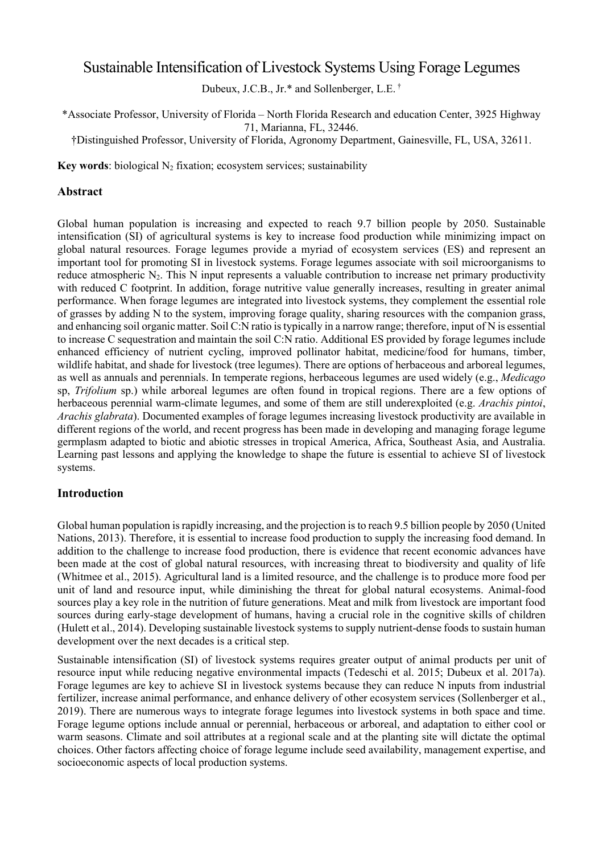# Sustainable Intensification of Livestock Systems Using Forage Legumes

Dubeux, J.C.B., Jr.\* and Sollenberger, L.E. †

\*Associate Professor, University of Florida – North Florida Research and education Center, 3925 Highway 71, Marianna, FL, 32446.

†Distinguished Professor, University of Florida, Agronomy Department, Gainesville, FL, USA, 32611.

**Key words**: biological N<sub>2</sub> fixation; ecosystem services; sustainability

### **Abstract**

Global human population is increasing and expected to reach 9.7 billion people by 2050. Sustainable intensification (SI) of agricultural systems is key to increase food production while minimizing impact on global natural resources. Forage legumes provide a myriad of ecosystem services (ES) and represent an important tool for promoting SI in livestock systems. Forage legumes associate with soil microorganisms to reduce atmospheric  $N_2$ . This N input represents a valuable contribution to increase net primary productivity with reduced C footprint. In addition, forage nutritive value generally increases, resulting in greater animal performance. When forage legumes are integrated into livestock systems, they complement the essential role of grasses by adding N to the system, improving forage quality, sharing resources with the companion grass, and enhancing soil organic matter. Soil C:N ratio is typically in a narrow range; therefore, input of N is essential to increase C sequestration and maintain the soil C:N ratio. Additional ES provided by forage legumes include enhanced efficiency of nutrient cycling, improved pollinator habitat, medicine/food for humans, timber, wildlife habitat, and shade for livestock (tree legumes). There are options of herbaceous and arboreal legumes, as well as annuals and perennials. In temperate regions, herbaceous legumes are used widely (e.g., *Medicago* sp, *Trifolium* sp.) while arboreal legumes are often found in tropical regions. There are a few options of herbaceous perennial warm-climate legumes, and some of them are still underexploited (e.g. *Arachis pintoi*, *Arachis glabrata*). Documented examples of forage legumes increasing livestock productivity are available in different regions of the world, and recent progress has been made in developing and managing forage legume germplasm adapted to biotic and abiotic stresses in tropical America, Africa, Southeast Asia, and Australia. Learning past lessons and applying the knowledge to shape the future is essential to achieve SI of livestock systems.

#### **Introduction**

Global human population is rapidly increasing, and the projection is to reach 9.5 billion people by 2050 (United Nations, 2013). Therefore, it is essential to increase food production to supply the increasing food demand. In addition to the challenge to increase food production, there is evidence that recent economic advances have been made at the cost of global natural resources, with increasing threat to biodiversity and quality of life (Whitmee et al., 2015). Agricultural land is a limited resource, and the challenge is to produce more food per unit of land and resource input, while diminishing the threat for global natural ecosystems. Animal-food sources play a key role in the nutrition of future generations. Meat and milk from livestock are important food sources during early-stage development of humans, having a crucial role in the cognitive skills of children (Hulett et al., 2014). Developing sustainable livestock systems to supply nutrient-dense foods to sustain human development over the next decades is a critical step.

Sustainable intensification (SI) of livestock systems requires greater output of animal products per unit of resource input while reducing negative environmental impacts (Tedeschi et al. 2015; Dubeux et al. 2017a). Forage legumes are key to achieve SI in livestock systems because they can reduce N inputs from industrial fertilizer, increase animal performance, and enhance delivery of other ecosystem services (Sollenberger et al., 2019). There are numerous ways to integrate forage legumes into livestock systems in both space and time. Forage legume options include annual or perennial, herbaceous or arboreal, and adaptation to either cool or warm seasons. Climate and soil attributes at a regional scale and at the planting site will dictate the optimal choices. Other factors affecting choice of forage legume include seed availability, management expertise, and socioeconomic aspects of local production systems.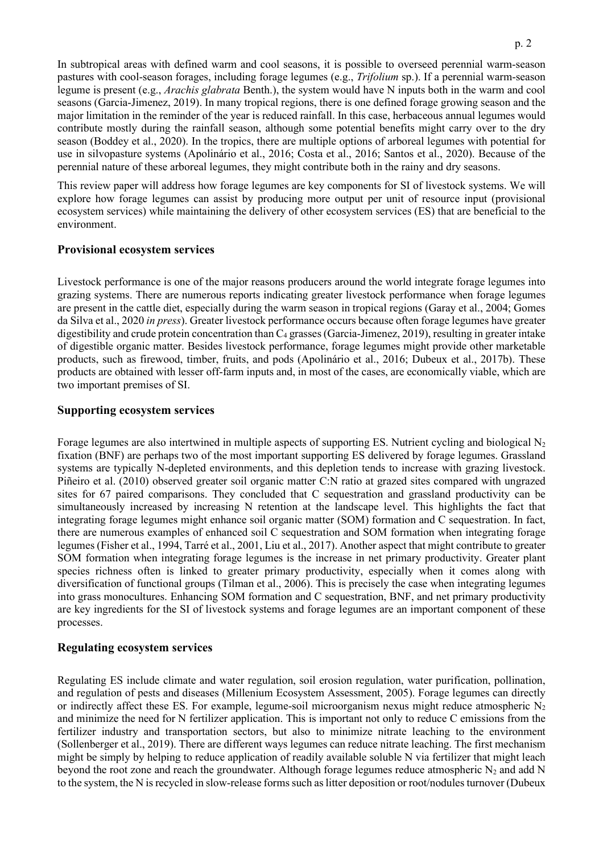In subtropical areas with defined warm and cool seasons, it is possible to overseed perennial warm-season pastures with cool-season forages, including forage legumes (e.g., *Trifolium* sp.). If a perennial warm-season legume is present (e.g., *Arachis glabrata* Benth.), the system would have N inputs both in the warm and cool seasons (Garcia-Jimenez, 2019). In many tropical regions, there is one defined forage growing season and the major limitation in the reminder of the year is reduced rainfall. In this case, herbaceous annual legumes would contribute mostly during the rainfall season, although some potential benefits might carry over to the dry season (Boddey et al., 2020). In the tropics, there are multiple options of arboreal legumes with potential for use in silvopasture systems (Apolinário et al., 2016; Costa et al., 2016; Santos et al., 2020). Because of the perennial nature of these arboreal legumes, they might contribute both in the rainy and dry seasons.

This review paper will address how forage legumes are key components for SI of livestock systems. We will explore how forage legumes can assist by producing more output per unit of resource input (provisional ecosystem services) while maintaining the delivery of other ecosystem services (ES) that are beneficial to the environment.

### **Provisional ecosystem services**

Livestock performance is one of the major reasons producers around the world integrate forage legumes into grazing systems. There are numerous reports indicating greater livestock performance when forage legumes are present in the cattle diet, especially during the warm season in tropical regions (Garay et al., 2004; Gomes da Silva et al., 2020 *in press*). Greater livestock performance occurs because often forage legumes have greater digestibility and crude protein concentration than C<sub>4</sub> grasses (Garcia-Jimenez, 2019), resulting in greater intake of digestible organic matter. Besides livestock performance, forage legumes might provide other marketable products, such as firewood, timber, fruits, and pods (Apolinário et al., 2016; Dubeux et al., 2017b). These products are obtained with lesser off-farm inputs and, in most of the cases, are economically viable, which are two important premises of SI.

### **Supporting ecosystem services**

Forage legumes are also intertwined in multiple aspects of supporting ES. Nutrient cycling and biological  $N_2$ fixation (BNF) are perhaps two of the most important supporting ES delivered by forage legumes. Grassland systems are typically N-depleted environments, and this depletion tends to increase with grazing livestock. Piñeiro et al. (2010) observed greater soil organic matter C:N ratio at grazed sites compared with ungrazed sites for 67 paired comparisons. They concluded that C sequestration and grassland productivity can be simultaneously increased by increasing N retention at the landscape level. This highlights the fact that integrating forage legumes might enhance soil organic matter (SOM) formation and C sequestration. In fact, there are numerous examples of enhanced soil C sequestration and SOM formation when integrating forage legumes (Fisher et al., 1994, Tarré et al., 2001, Liu et al., 2017). Another aspect that might contribute to greater SOM formation when integrating forage legumes is the increase in net primary productivity. Greater plant species richness often is linked to greater primary productivity, especially when it comes along with diversification of functional groups (Tilman et al., 2006). This is precisely the case when integrating legumes into grass monocultures. Enhancing SOM formation and C sequestration, BNF, and net primary productivity are key ingredients for the SI of livestock systems and forage legumes are an important component of these processes.

#### **Regulating ecosystem services**

Regulating ES include climate and water regulation, soil erosion regulation, water purification, pollination, and regulation of pests and diseases (Millenium Ecosystem Assessment, 2005). Forage legumes can directly or indirectly affect these ES. For example, legume-soil microorganism nexus might reduce atmospheric  $N_2$ and minimize the need for N fertilizer application. This is important not only to reduce C emissions from the fertilizer industry and transportation sectors, but also to minimize nitrate leaching to the environment (Sollenberger et al., 2019). There are different ways legumes can reduce nitrate leaching. The first mechanism might be simply by helping to reduce application of readily available soluble N via fertilizer that might leach beyond the root zone and reach the groundwater. Although forage legumes reduce atmospheric  $N_2$  and add N to the system, the N is recycled in slow-release forms such as litter deposition or root/nodules turnover (Dubeux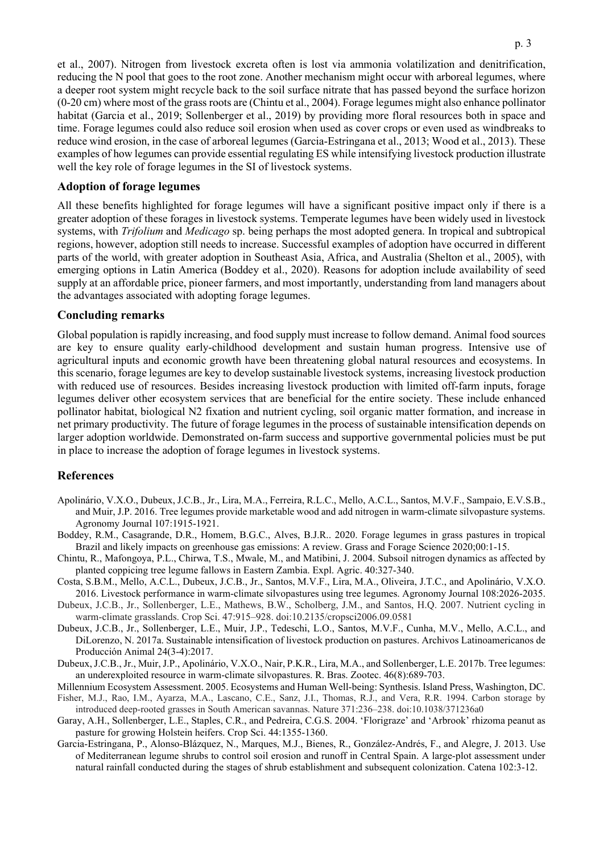et al., 2007). Nitrogen from livestock excreta often is lost via ammonia volatilization and denitrification, reducing the N pool that goes to the root zone. Another mechanism might occur with arboreal legumes, where a deeper root system might recycle back to the soil surface nitrate that has passed beyond the surface horizon (0-20 cm) where most of the grass roots are (Chintu et al., 2004). Forage legumes might also enhance pollinator habitat (Garcia et al., 2019; Sollenberger et al., 2019) by providing more floral resources both in space and time. Forage legumes could also reduce soil erosion when used as cover crops or even used as windbreaks to reduce wind erosion, in the case of arboreal legumes (Garcia-Estringana et al., 2013; Wood et al., 2013). These examples of how legumes can provide essential regulating ES while intensifying livestock production illustrate well the key role of forage legumes in the SI of livestock systems.

## **Adoption of forage legumes**

All these benefits highlighted for forage legumes will have a significant positive impact only if there is a greater adoption of these forages in livestock systems. Temperate legumes have been widely used in livestock systems, with *Trifolium* and *Medicago* sp. being perhaps the most adopted genera. In tropical and subtropical regions, however, adoption still needs to increase. Successful examples of adoption have occurred in different parts of the world, with greater adoption in Southeast Asia, Africa, and Australia (Shelton et al., 2005), with emerging options in Latin America (Boddey et al., 2020). Reasons for adoption include availability of seed supply at an affordable price, pioneer farmers, and most importantly, understanding from land managers about the advantages associated with adopting forage legumes.

#### **Concluding remarks**

Global population is rapidly increasing, and food supply must increase to follow demand. Animal food sources are key to ensure quality early-childhood development and sustain human progress. Intensive use of agricultural inputs and economic growth have been threatening global natural resources and ecosystems. In this scenario, forage legumes are key to develop sustainable livestock systems, increasing livestock production with reduced use of resources. Besides increasing livestock production with limited off-farm inputs, forage legumes deliver other ecosystem services that are beneficial for the entire society. These include enhanced pollinator habitat, biological N2 fixation and nutrient cycling, soil organic matter formation, and increase in net primary productivity. The future of forage legumes in the process of sustainable intensification depends on larger adoption worldwide. Demonstrated on-farm success and supportive governmental policies must be put in place to increase the adoption of forage legumes in livestock systems.

#### **References**

- Apolinário, V.X.O., Dubeux, J.C.B., Jr., Lira, M.A., Ferreira, R.L.C., Mello, A.C.L., Santos, M.V.F., Sampaio, E.V.S.B., and Muir, J.P. 2016. Tree legumes provide marketable wood and add nitrogen in warm-climate silvopasture systems. Agronomy Journal 107:1915-1921.
- Boddey, R.M., Casagrande, D.R., Homem, B.G.C., Alves, B.J.R.. 2020. Forage legumes in grass pastures in tropical Brazil and likely impacts on greenhouse gas emissions: A review. Grass and Forage Science 2020;00:1-15.
- Chintu, R., Mafongoya, P.L., Chirwa, T.S., Mwale, M., and Matibini, J. 2004. Subsoil nitrogen dynamics as affected by planted coppicing tree legume fallows in Eastern Zambia. Expl. Agric. 40:327-340.
- Costa, S.B.M., Mello, A.C.L., Dubeux, J.C.B., Jr., Santos, M.V.F., Lira, M.A., Oliveira, J.T.C., and Apolinário, V.X.O. 2016. Livestock performance in warm-climate silvopastures using tree legumes. Agronomy Journal 108:2026-2035.
- Dubeux, J.C.B., Jr., Sollenberger, L.E., Mathews, B.W., Scholberg, J.M., and Santos, H.Q. 2007. Nutrient cycling in warm-climate grasslands. Crop Sci. 47:915–928. doi:10.2135/cropsci2006.09.0581
- Dubeux, J.C.B., Jr., Sollenberger, L.E., Muir, J.P., Tedeschi, L.O., Santos, M.V.F., Cunha, M.V., Mello, A.C.L., and DiLorenzo, N. 2017a. Sustainable intensification of livestock production on pastures. Archivos Latinoamericanos de Producción Animal 24(3-4):2017.
- Dubeux, J.C.B., Jr., Muir, J.P., Apolinário, V.X.O., Nair, P.K.R., Lira, M.A., and Sollenberger, L.E. 2017b. Tree legumes: an underexploited resource in warm-climate silvopastures. R. Bras. Zootec. 46(8):689-703.
- Millennium Ecosystem Assessment. 2005. Ecosystems and Human Well-being: Synthesis. Island Press, Washington, DC. Fisher, M.J., Rao, I.M., Ayarza, M.A., Lascano, C.E., Sanz, J.I., Thomas, R.J., and Vera, R.R. 1994. Carbon storage by
- introduced deep-rooted grasses in South American savannas. Nature 371:236–238. doi:10.1038/371236a0 Garay, A.H., Sollenberger, L.E., Staples, C.R., and Pedreira, C.G.S. 2004. 'Florigraze' and 'Arbrook' rhizoma peanut as
- pasture for growing Holstein heifers. Crop Sci. 44:1355-1360.
- Garcia-Estringana, P., Alonso-Blázquez, N., Marques, M.J., Bienes, R., González-Andrés, F., and Alegre, J. 2013. Use of Mediterranean legume shrubs to control soil erosion and runoff in Central Spain. A large-plot assessment under natural rainfall conducted during the stages of shrub establishment and subsequent colonization. Catena 102:3-12.